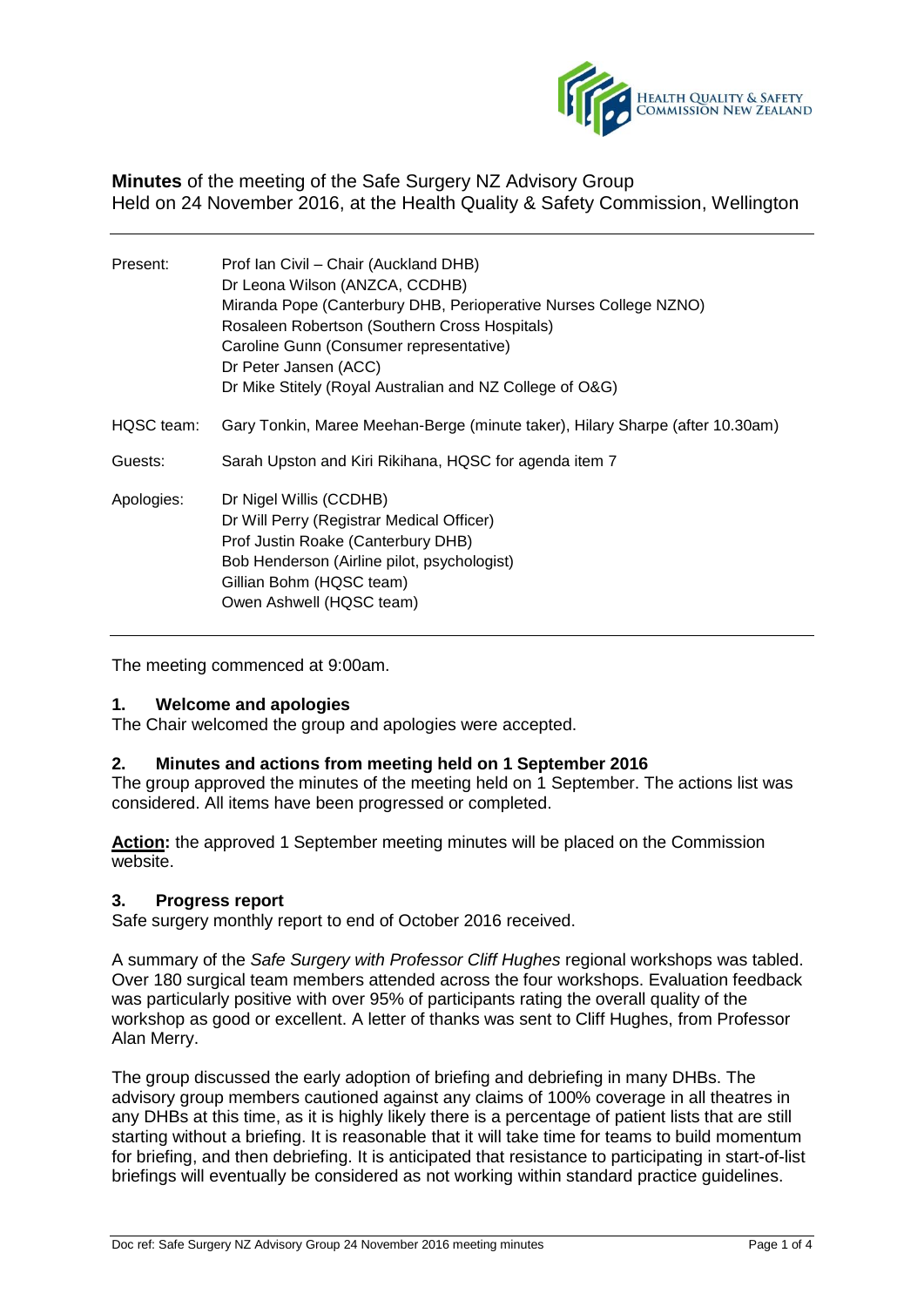

**Minutes** of the meeting of the Safe Surgery NZ Advisory Group Held on 24 November 2016, at the Health Quality & Safety Commission, Wellington

| Present:   | Prof Ian Civil - Chair (Auckland DHB)<br>Dr Leona Wilson (ANZCA, CCDHB)<br>Miranda Pope (Canterbury DHB, Perioperative Nurses College NZNO)<br>Rosaleen Robertson (Southern Cross Hospitals)<br>Caroline Gunn (Consumer representative)<br>Dr Peter Jansen (ACC)<br>Dr Mike Stitely (Royal Australian and NZ College of O&G) |
|------------|------------------------------------------------------------------------------------------------------------------------------------------------------------------------------------------------------------------------------------------------------------------------------------------------------------------------------|
| HQSC team: | Gary Tonkin, Maree Meehan-Berge (minute taker), Hilary Sharpe (after 10.30am)                                                                                                                                                                                                                                                |
| Guests:    | Sarah Upston and Kiri Rikihana, HQSC for agenda item 7                                                                                                                                                                                                                                                                       |
| Apologies: | Dr Nigel Willis (CCDHB)<br>Dr Will Perry (Registrar Medical Officer)<br>Prof Justin Roake (Canterbury DHB)<br>Bob Henderson (Airline pilot, psychologist)<br>Gillian Bohm (HQSC team)<br>Owen Ashwell (HQSC team)                                                                                                            |

The meeting commenced at 9:00am.

# **1. Welcome and apologies**

The Chair welcomed the group and apologies were accepted.

# **2. Minutes and actions from meeting held on 1 September 2016**

The group approved the minutes of the meeting held on 1 September. The actions list was considered. All items have been progressed or completed.

**Action:** the approved 1 September meeting minutes will be placed on the Commission website.

## **3. Progress report**

Safe surgery monthly report to end of October 2016 received.

A summary of the *Safe Surgery with Professor Cliff Hughes* regional workshops was tabled. Over 180 surgical team members attended across the four workshops. Evaluation feedback was particularly positive with over 95% of participants rating the overall quality of the workshop as good or excellent. A letter of thanks was sent to Cliff Hughes, from Professor Alan Merry.

The group discussed the early adoption of briefing and debriefing in many DHBs. The advisory group members cautioned against any claims of 100% coverage in all theatres in any DHBs at this time, as it is highly likely there is a percentage of patient lists that are still starting without a briefing. It is reasonable that it will take time for teams to build momentum for briefing, and then debriefing. It is anticipated that resistance to participating in start-of-list briefings will eventually be considered as not working within standard practice guidelines.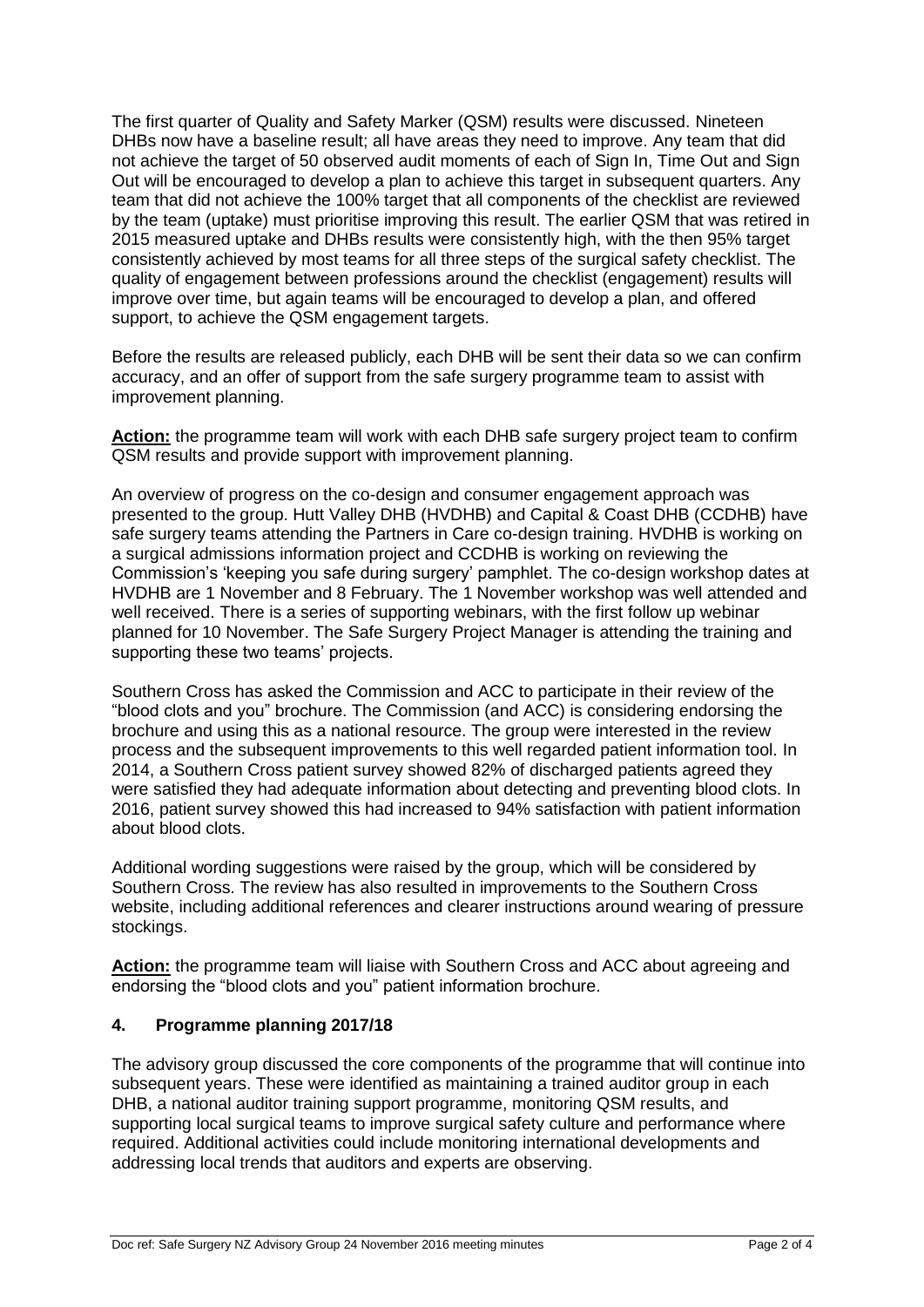The first quarter of Quality and Safety Marker (QSM) results were discussed. Nineteen DHBs now have a baseline result; all have areas they need to improve. Any team that did not achieve the target of 50 observed audit moments of each of Sign In, Time Out and Sign Out will be encouraged to develop a plan to achieve this target in subsequent quarters. Any team that did not achieve the 100% target that all components of the checklist are reviewed by the team (uptake) must prioritise improving this result. The earlier QSM that was retired in 2015 measured uptake and DHBs results were consistently high, with the then 95% target consistently achieved by most teams for all three steps of the surgical safety checklist. The quality of engagement between professions around the checklist (engagement) results will improve over time, but again teams will be encouraged to develop a plan, and offered support, to achieve the QSM engagement targets.

Before the results are released publicly, each DHB will be sent their data so we can confirm accuracy, and an offer of support from the safe surgery programme team to assist with improvement planning.

**Action:** the programme team will work with each DHB safe surgery project team to confirm QSM results and provide support with improvement planning.

An overview of progress on the co-design and consumer engagement approach was presented to the group. Hutt Valley DHB (HVDHB) and Capital & Coast DHB (CCDHB) have safe surgery teams attending the Partners in Care co-design training. HVDHB is working on a surgical admissions information project and CCDHB is working on reviewing the Commission's 'keeping you safe during surgery' pamphlet. The co-design workshop dates at HVDHB are 1 November and 8 February. The 1 November workshop was well attended and well received. There is a series of supporting webinars, with the first follow up webinar planned for 10 November. The Safe Surgery Project Manager is attending the training and supporting these two teams' projects.

Southern Cross has asked the Commission and ACC to participate in their review of the "blood clots and you" brochure. The Commission (and ACC) is considering endorsing the brochure and using this as a national resource. The group were interested in the review process and the subsequent improvements to this well regarded patient information tool. In 2014, a Southern Cross patient survey showed 82% of discharged patients agreed they were satisfied they had adequate information about detecting and preventing blood clots. In 2016, patient survey showed this had increased to 94% satisfaction with patient information about blood clots.

Additional wording suggestions were raised by the group, which will be considered by Southern Cross. The review has also resulted in improvements to the Southern Cross website, including additional references and clearer instructions around wearing of pressure stockings.

Action: the programme team will liaise with Southern Cross and ACC about agreeing and endorsing the "blood clots and you" patient information brochure.

# **4. Programme planning 2017/18**

The advisory group discussed the core components of the programme that will continue into subsequent years. These were identified as maintaining a trained auditor group in each DHB, a national auditor training support programme, monitoring QSM results, and supporting local surgical teams to improve surgical safety culture and performance where required. Additional activities could include monitoring international developments and addressing local trends that auditors and experts are observing.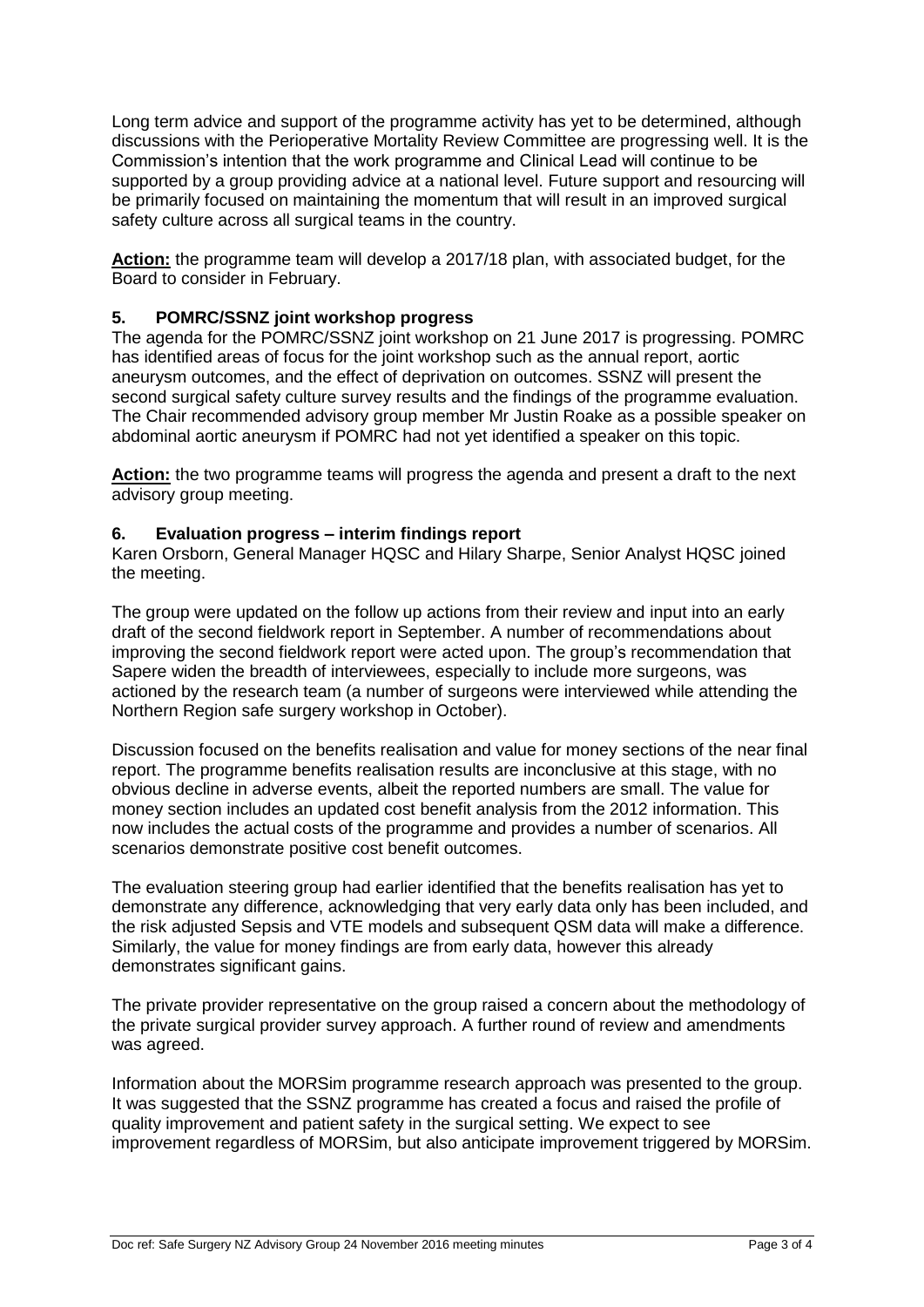Long term advice and support of the programme activity has yet to be determined, although discussions with the Perioperative Mortality Review Committee are progressing well. It is the Commission's intention that the work programme and Clinical Lead will continue to be supported by a group providing advice at a national level. Future support and resourcing will be primarily focused on maintaining the momentum that will result in an improved surgical safety culture across all surgical teams in the country.

**Action:** the programme team will develop a 2017/18 plan, with associated budget, for the Board to consider in February.

# **5. POMRC/SSNZ joint workshop progress**

The agenda for the POMRC/SSNZ joint workshop on 21 June 2017 is progressing. POMRC has identified areas of focus for the joint workshop such as the annual report, aortic aneurysm outcomes, and the effect of deprivation on outcomes. SSNZ will present the second surgical safety culture survey results and the findings of the programme evaluation. The Chair recommended advisory group member Mr Justin Roake as a possible speaker on abdominal aortic aneurysm if POMRC had not yet identified a speaker on this topic.

**Action:** the two programme teams will progress the agenda and present a draft to the next advisory group meeting.

# **6. Evaluation progress – interim findings report**

Karen Orsborn, General Manager HQSC and Hilary Sharpe, Senior Analyst HQSC joined the meeting.

The group were updated on the follow up actions from their review and input into an early draft of the second fieldwork report in September. A number of recommendations about improving the second fieldwork report were acted upon. The group's recommendation that Sapere widen the breadth of interviewees, especially to include more surgeons, was actioned by the research team (a number of surgeons were interviewed while attending the Northern Region safe surgery workshop in October).

Discussion focused on the benefits realisation and value for money sections of the near final report. The programme benefits realisation results are inconclusive at this stage, with no obvious decline in adverse events, albeit the reported numbers are small. The value for money section includes an updated cost benefit analysis from the 2012 information. This now includes the actual costs of the programme and provides a number of scenarios. All scenarios demonstrate positive cost benefit outcomes.

The evaluation steering group had earlier identified that the benefits realisation has yet to demonstrate any difference, acknowledging that very early data only has been included, and the risk adjusted Sepsis and VTE models and subsequent QSM data will make a difference. Similarly, the value for money findings are from early data, however this already demonstrates significant gains.

The private provider representative on the group raised a concern about the methodology of the private surgical provider survey approach. A further round of review and amendments was agreed.

Information about the MORSim programme research approach was presented to the group. It was suggested that the SSNZ programme has created a focus and raised the profile of quality improvement and patient safety in the surgical setting. We expect to see improvement regardless of MORSim, but also anticipate improvement triggered by MORSim.